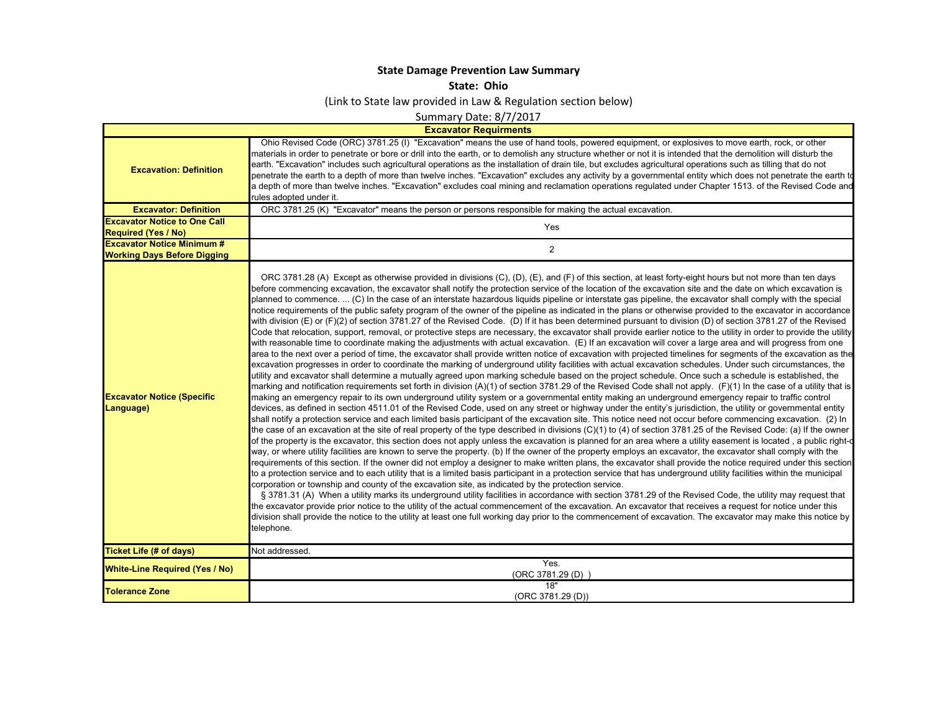## **State Damage Prevention Law Summary**

**State: Ohio**

(Link to State law provided in Law & Regulation section below)

Summary Date: 8/7/2017

**Excavator Requirments**

 $\mathsf{L}$ 

| <b>Excavation: Definition</b><br><b>Excavator: Definition</b> | Ohio Revised Code (ORC) 3781.25 (I) "Excavation" means the use of hand tools, powered equipment, or explosives to move earth, rock, or other<br>materials in order to penetrate or bore or drill into the earth, or to demolish any structure whether or not it is intended that the demolition will disturb the<br>earth. "Excavation" includes such agricultural operations as the installation of drain tile, but excludes agricultural operations such as tilling that do not<br>penetrate the earth to a depth of more than twelve inches. "Excavation" excludes any activity by a governmental entity which does not penetrate the earth to<br>a depth of more than twelve inches. "Excavation" excludes coal mining and reclamation operations regulated under Chapter 1513. of the Revised Code and<br>rules adopted under it.<br>ORC 3781.25 (K) "Excavator" means the person or persons responsible for making the actual excavation.                                                                                                                                                                                                                                                                                                                                                                                                                                                                                                                                                                                                                                                                                                                                                                                                                                                                                                                                                                                                                                                                                                                                                                                                                                                                                                                                                                                                                                                                                                                                                                                                                                                                                                                                                                                                                                                                                                                                                                                                                                                                                                                                                                                                                                                                                                                                                                                                                                                                                                                                                                                                                                                                                                                                                                                                                                     |
|---------------------------------------------------------------|-------------------------------------------------------------------------------------------------------------------------------------------------------------------------------------------------------------------------------------------------------------------------------------------------------------------------------------------------------------------------------------------------------------------------------------------------------------------------------------------------------------------------------------------------------------------------------------------------------------------------------------------------------------------------------------------------------------------------------------------------------------------------------------------------------------------------------------------------------------------------------------------------------------------------------------------------------------------------------------------------------------------------------------------------------------------------------------------------------------------------------------------------------------------------------------------------------------------------------------------------------------------------------------------------------------------------------------------------------------------------------------------------------------------------------------------------------------------------------------------------------------------------------------------------------------------------------------------------------------------------------------------------------------------------------------------------------------------------------------------------------------------------------------------------------------------------------------------------------------------------------------------------------------------------------------------------------------------------------------------------------------------------------------------------------------------------------------------------------------------------------------------------------------------------------------------------------------------------------------------------------------------------------------------------------------------------------------------------------------------------------------------------------------------------------------------------------------------------------------------------------------------------------------------------------------------------------------------------------------------------------------------------------------------------------------------------------------------------------------------------------------------------------------------------------------------------------------------------------------------------------------------------------------------------------------------------------------------------------------------------------------------------------------------------------------------------------------------------------------------------------------------------------------------------------------------------------------------------------------------------------------------------------------------------------------------------------------------------------------------------------------------------------------------------------------------------------------------------------------------------------------------------------------------------------------------------------------------------------------------------------------------------------------------------------------------------------------------------------------------------------------------------------------|
| <b>Excavator Notice to One Call</b>                           |                                                                                                                                                                                                                                                                                                                                                                                                                                                                                                                                                                                                                                                                                                                                                                                                                                                                                                                                                                                                                                                                                                                                                                                                                                                                                                                                                                                                                                                                                                                                                                                                                                                                                                                                                                                                                                                                                                                                                                                                                                                                                                                                                                                                                                                                                                                                                                                                                                                                                                                                                                                                                                                                                                                                                                                                                                                                                                                                                                                                                                                                                                                                                                                                                                                                                                                                                                                                                                                                                                                                                                                                                                                                                                                                                                                     |
| <b>Required (Yes / No)</b>                                    | Yes                                                                                                                                                                                                                                                                                                                                                                                                                                                                                                                                                                                                                                                                                                                                                                                                                                                                                                                                                                                                                                                                                                                                                                                                                                                                                                                                                                                                                                                                                                                                                                                                                                                                                                                                                                                                                                                                                                                                                                                                                                                                                                                                                                                                                                                                                                                                                                                                                                                                                                                                                                                                                                                                                                                                                                                                                                                                                                                                                                                                                                                                                                                                                                                                                                                                                                                                                                                                                                                                                                                                                                                                                                                                                                                                                                                 |
| <b>Excavator Notice Minimum #</b>                             | $\overline{2}$                                                                                                                                                                                                                                                                                                                                                                                                                                                                                                                                                                                                                                                                                                                                                                                                                                                                                                                                                                                                                                                                                                                                                                                                                                                                                                                                                                                                                                                                                                                                                                                                                                                                                                                                                                                                                                                                                                                                                                                                                                                                                                                                                                                                                                                                                                                                                                                                                                                                                                                                                                                                                                                                                                                                                                                                                                                                                                                                                                                                                                                                                                                                                                                                                                                                                                                                                                                                                                                                                                                                                                                                                                                                                                                                                                      |
| <b>Working Days Before Digging</b>                            |                                                                                                                                                                                                                                                                                                                                                                                                                                                                                                                                                                                                                                                                                                                                                                                                                                                                                                                                                                                                                                                                                                                                                                                                                                                                                                                                                                                                                                                                                                                                                                                                                                                                                                                                                                                                                                                                                                                                                                                                                                                                                                                                                                                                                                                                                                                                                                                                                                                                                                                                                                                                                                                                                                                                                                                                                                                                                                                                                                                                                                                                                                                                                                                                                                                                                                                                                                                                                                                                                                                                                                                                                                                                                                                                                                                     |
| <b>Excavator Notice (Specific</b><br>Language)                | ORC 3781.28 (A) Except as otherwise provided in divisions (C), (D), (E), and (F) of this section, at least forty-eight hours but not more than ten days<br>before commencing excavation, the excavator shall notify the protection service of the location of the excavation site and the date on which excavation is<br>planned to commence.  (C) In the case of an interstate hazardous liquids pipeline or interstate gas pipeline, the excavator shall comply with the special<br>notice requirements of the public safety program of the owner of the pipeline as indicated in the plans or otherwise provided to the excavator in accordance<br>with division (E) or (F)(2) of section 3781.27 of the Revised Code. (D) If it has been determined pursuant to division (D) of section 3781.27 of the Revised<br>Code that relocation, support, removal, or protective steps are necessary, the excavator shall provide earlier notice to the utility in order to provide the utility<br>with reasonable time to coordinate making the adjustments with actual excavation. (E) If an excavation will cover a large area and will progress from one<br>area to the next over a period of time, the excavator shall provide written notice of excavation with projected timelines for segments of the excavation as the<br>excavation progresses in order to coordinate the marking of underground utility facilities with actual excavation schedules. Under such circumstances, the<br>utility and excavator shall determine a mutually agreed upon marking schedule based on the project schedule. Once such a schedule is established, the<br>marking and notification requirements set forth in division (A)(1) of section 3781.29 of the Revised Code shall not apply. (F)(1) In the case of a utility that is<br>making an emergency repair to its own underground utility system or a governmental entity making an underground emergency repair to traffic control<br>devices, as defined in section 4511.01 of the Revised Code, used on any street or highway under the entity's jurisdiction, the utility or governmental entity<br>shall notify a protection service and each limited basis participant of the excavation site. This notice need not occur before commencing excavation. (2) In<br>the case of an excavation at the site of real property of the type described in divisions (C)(1) to (4) of section 3781.25 of the Revised Code: (a) If the owner<br>of the property is the excavator, this section does not apply unless the excavation is planned for an area where a utility easement is located , a public right-d<br>way, or where utility facilities are known to serve the property. (b) If the owner of the property employs an excavator, the excavator shall comply with the<br>requirements of this section. If the owner did not employ a designer to make written plans, the excavator shall provide the notice required under this section<br>to a protection service and to each utility that is a limited basis participant in a protection service that has underground utility facilities within the municipal<br>corporation or township and county of the excavation site, as indicated by the protection service.<br>§ 3781.31 (A) When a utility marks its underground utility facilities in accordance with section 3781.29 of the Revised Code, the utility may request that<br>the excavator provide prior notice to the utility of the actual commencement of the excavation. An excavator that receives a request for notice under this<br>division shall provide the notice to the utility at least one full working day prior to the commencement of excavation. The excavator may make this notice by<br>telephone. |
| Ticket Life (# of days)                                       | Not addressed.                                                                                                                                                                                                                                                                                                                                                                                                                                                                                                                                                                                                                                                                                                                                                                                                                                                                                                                                                                                                                                                                                                                                                                                                                                                                                                                                                                                                                                                                                                                                                                                                                                                                                                                                                                                                                                                                                                                                                                                                                                                                                                                                                                                                                                                                                                                                                                                                                                                                                                                                                                                                                                                                                                                                                                                                                                                                                                                                                                                                                                                                                                                                                                                                                                                                                                                                                                                                                                                                                                                                                                                                                                                                                                                                                                      |
| <b>White-Line Required (Yes / No)</b>                         | Yes.<br>(ORC 3781.29 (D)                                                                                                                                                                                                                                                                                                                                                                                                                                                                                                                                                                                                                                                                                                                                                                                                                                                                                                                                                                                                                                                                                                                                                                                                                                                                                                                                                                                                                                                                                                                                                                                                                                                                                                                                                                                                                                                                                                                                                                                                                                                                                                                                                                                                                                                                                                                                                                                                                                                                                                                                                                                                                                                                                                                                                                                                                                                                                                                                                                                                                                                                                                                                                                                                                                                                                                                                                                                                                                                                                                                                                                                                                                                                                                                                                            |
| <b>Tolerance Zone</b>                                         | 18"<br>(ORC 3781.29 (D))                                                                                                                                                                                                                                                                                                                                                                                                                                                                                                                                                                                                                                                                                                                                                                                                                                                                                                                                                                                                                                                                                                                                                                                                                                                                                                                                                                                                                                                                                                                                                                                                                                                                                                                                                                                                                                                                                                                                                                                                                                                                                                                                                                                                                                                                                                                                                                                                                                                                                                                                                                                                                                                                                                                                                                                                                                                                                                                                                                                                                                                                                                                                                                                                                                                                                                                                                                                                                                                                                                                                                                                                                                                                                                                                                            |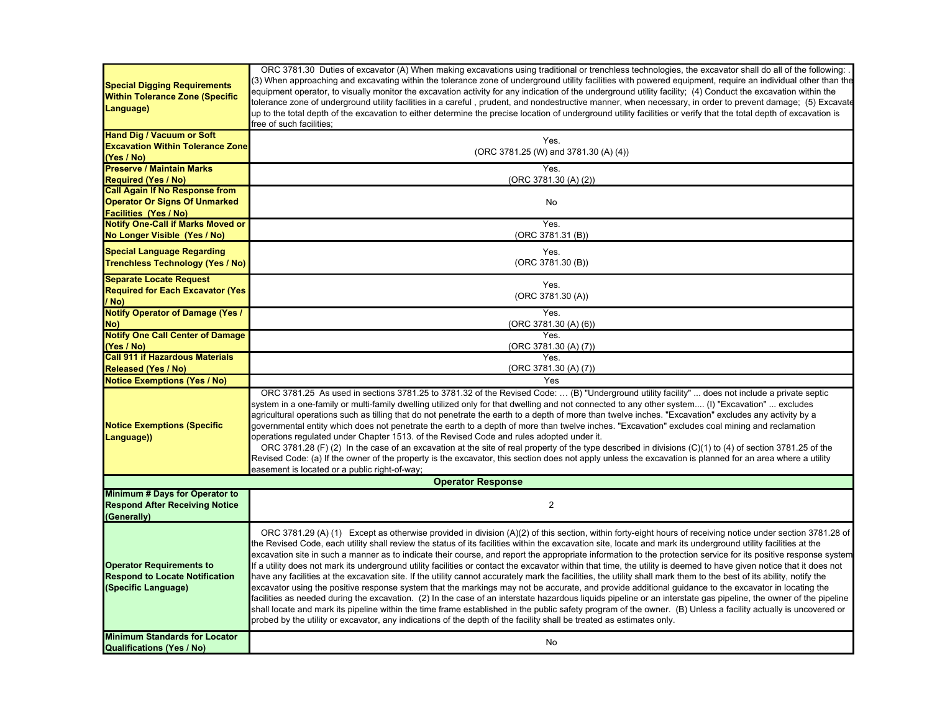| <b>Special Digging Requirements</b><br><b>Within Tolerance Zone (Specific</b><br>Language)      | ORC 3781.30 Duties of excavator (A) When making excavations using traditional or trenchless technologies, the excavator shall do all of the following:<br>(3) When approaching and excavating within the tolerance zone of underground utility facilities with powered equipment, require an individual other than the<br>equipment operator, to visually monitor the excavation activity for any indication of the underground utility facility; (4) Conduct the excavation within the<br>tolerance zone of underground utility facilities in a careful , prudent, and nondestructive manner, when necessary, in order to prevent damage; (5) Excavate<br>up to the total depth of the excavation to either determine the precise location of underground utility facilities or verify that the total depth of excavation is<br>free of such facilities;                                                                                                                                                                                                                                                                                                                                                                                                                                                                                                                                                                                                             |
|-------------------------------------------------------------------------------------------------|-----------------------------------------------------------------------------------------------------------------------------------------------------------------------------------------------------------------------------------------------------------------------------------------------------------------------------------------------------------------------------------------------------------------------------------------------------------------------------------------------------------------------------------------------------------------------------------------------------------------------------------------------------------------------------------------------------------------------------------------------------------------------------------------------------------------------------------------------------------------------------------------------------------------------------------------------------------------------------------------------------------------------------------------------------------------------------------------------------------------------------------------------------------------------------------------------------------------------------------------------------------------------------------------------------------------------------------------------------------------------------------------------------------------------------------------------------------------------|
| <b>Hand Dig / Vacuum or Soft</b>                                                                | Yes.                                                                                                                                                                                                                                                                                                                                                                                                                                                                                                                                                                                                                                                                                                                                                                                                                                                                                                                                                                                                                                                                                                                                                                                                                                                                                                                                                                                                                                                                  |
| <b>Excavation Within Tolerance Zone</b>                                                         | (ORC 3781.25 (W) and 3781.30 (A) (4))                                                                                                                                                                                                                                                                                                                                                                                                                                                                                                                                                                                                                                                                                                                                                                                                                                                                                                                                                                                                                                                                                                                                                                                                                                                                                                                                                                                                                                 |
| (Yes / No)                                                                                      |                                                                                                                                                                                                                                                                                                                                                                                                                                                                                                                                                                                                                                                                                                                                                                                                                                                                                                                                                                                                                                                                                                                                                                                                                                                                                                                                                                                                                                                                       |
| <b>Preserve / Maintain Marks</b>                                                                | Yes.                                                                                                                                                                                                                                                                                                                                                                                                                                                                                                                                                                                                                                                                                                                                                                                                                                                                                                                                                                                                                                                                                                                                                                                                                                                                                                                                                                                                                                                                  |
| <b>Required (Yes / No)</b>                                                                      | (ORC 3781.30 (A) (2))                                                                                                                                                                                                                                                                                                                                                                                                                                                                                                                                                                                                                                                                                                                                                                                                                                                                                                                                                                                                                                                                                                                                                                                                                                                                                                                                                                                                                                                 |
| <b>Call Again If No Response from</b>                                                           |                                                                                                                                                                                                                                                                                                                                                                                                                                                                                                                                                                                                                                                                                                                                                                                                                                                                                                                                                                                                                                                                                                                                                                                                                                                                                                                                                                                                                                                                       |
| <b>Operator Or Signs Of Unmarked</b>                                                            | No                                                                                                                                                                                                                                                                                                                                                                                                                                                                                                                                                                                                                                                                                                                                                                                                                                                                                                                                                                                                                                                                                                                                                                                                                                                                                                                                                                                                                                                                    |
| Facilities (Yes / No)                                                                           |                                                                                                                                                                                                                                                                                                                                                                                                                                                                                                                                                                                                                                                                                                                                                                                                                                                                                                                                                                                                                                                                                                                                                                                                                                                                                                                                                                                                                                                                       |
| <b>Notify One-Call if Marks Moved or</b>                                                        | Yes.                                                                                                                                                                                                                                                                                                                                                                                                                                                                                                                                                                                                                                                                                                                                                                                                                                                                                                                                                                                                                                                                                                                                                                                                                                                                                                                                                                                                                                                                  |
| No Longer Visible (Yes / No)                                                                    | (ORC 3781.31 (B))                                                                                                                                                                                                                                                                                                                                                                                                                                                                                                                                                                                                                                                                                                                                                                                                                                                                                                                                                                                                                                                                                                                                                                                                                                                                                                                                                                                                                                                     |
| <b>Special Language Regarding</b>                                                               | Yes.                                                                                                                                                                                                                                                                                                                                                                                                                                                                                                                                                                                                                                                                                                                                                                                                                                                                                                                                                                                                                                                                                                                                                                                                                                                                                                                                                                                                                                                                  |
| <b>Trenchless Technology (Yes / No)</b>                                                         | (ORC 3781.30 (B))                                                                                                                                                                                                                                                                                                                                                                                                                                                                                                                                                                                                                                                                                                                                                                                                                                                                                                                                                                                                                                                                                                                                                                                                                                                                                                                                                                                                                                                     |
| <b>Separate Locate Request</b>                                                                  |                                                                                                                                                                                                                                                                                                                                                                                                                                                                                                                                                                                                                                                                                                                                                                                                                                                                                                                                                                                                                                                                                                                                                                                                                                                                                                                                                                                                                                                                       |
|                                                                                                 | Yes.                                                                                                                                                                                                                                                                                                                                                                                                                                                                                                                                                                                                                                                                                                                                                                                                                                                                                                                                                                                                                                                                                                                                                                                                                                                                                                                                                                                                                                                                  |
| <b>Required for Each Excavator (Yes)</b><br>/ No)                                               | (ORC 3781.30 (A))                                                                                                                                                                                                                                                                                                                                                                                                                                                                                                                                                                                                                                                                                                                                                                                                                                                                                                                                                                                                                                                                                                                                                                                                                                                                                                                                                                                                                                                     |
| <b>Notify Operator of Damage (Yes /</b>                                                         | Yes.                                                                                                                                                                                                                                                                                                                                                                                                                                                                                                                                                                                                                                                                                                                                                                                                                                                                                                                                                                                                                                                                                                                                                                                                                                                                                                                                                                                                                                                                  |
| No)                                                                                             | (ORC 3781.30 (A) (6))                                                                                                                                                                                                                                                                                                                                                                                                                                                                                                                                                                                                                                                                                                                                                                                                                                                                                                                                                                                                                                                                                                                                                                                                                                                                                                                                                                                                                                                 |
| <b>Notify One Call Center of Damage</b>                                                         | Yes.                                                                                                                                                                                                                                                                                                                                                                                                                                                                                                                                                                                                                                                                                                                                                                                                                                                                                                                                                                                                                                                                                                                                                                                                                                                                                                                                                                                                                                                                  |
| (Yes / No)                                                                                      | (ORC 3781.30 (A) (7))                                                                                                                                                                                                                                                                                                                                                                                                                                                                                                                                                                                                                                                                                                                                                                                                                                                                                                                                                                                                                                                                                                                                                                                                                                                                                                                                                                                                                                                 |
| <b>Call 911 if Hazardous Materials</b>                                                          | Yes.                                                                                                                                                                                                                                                                                                                                                                                                                                                                                                                                                                                                                                                                                                                                                                                                                                                                                                                                                                                                                                                                                                                                                                                                                                                                                                                                                                                                                                                                  |
| <b>Released (Yes / No)</b>                                                                      | (ORC 3781.30 (A) (7))                                                                                                                                                                                                                                                                                                                                                                                                                                                                                                                                                                                                                                                                                                                                                                                                                                                                                                                                                                                                                                                                                                                                                                                                                                                                                                                                                                                                                                                 |
| <b>Notice Exemptions (Yes / No)</b>                                                             | Yes                                                                                                                                                                                                                                                                                                                                                                                                                                                                                                                                                                                                                                                                                                                                                                                                                                                                                                                                                                                                                                                                                                                                                                                                                                                                                                                                                                                                                                                                   |
|                                                                                                 | ORC 3781.25 As used in sections 3781.25 to 3781.32 of the Revised Code:  (B) "Underground utility facility"  does not include a private septic                                                                                                                                                                                                                                                                                                                                                                                                                                                                                                                                                                                                                                                                                                                                                                                                                                                                                                                                                                                                                                                                                                                                                                                                                                                                                                                        |
| <b>Notice Exemptions (Specific</b><br>Language))                                                | system in a one-family or multi-family dwelling utilized only for that dwelling and not connected to any other system (I) "Excavation"  excludes<br>agricultural operations such as tilling that do not penetrate the earth to a depth of more than twelve inches. "Excavation" excludes any activity by a<br>governmental entity which does not penetrate the earth to a depth of more than twelve inches. "Excavation" excludes coal mining and reclamation<br>operations regulated under Chapter 1513. of the Revised Code and rules adopted under it.<br>ORC 3781.28 (F) (2) In the case of an excavation at the site of real property of the type described in divisions (C)(1) to (4) of section 3781.25 of the<br>Revised Code: (a) If the owner of the property is the excavator, this section does not apply unless the excavation is planned for an area where a utility<br>easement is located or a public right-of-way;                                                                                                                                                                                                                                                                                                                                                                                                                                                                                                                                   |
|                                                                                                 | <b>Operator Response</b>                                                                                                                                                                                                                                                                                                                                                                                                                                                                                                                                                                                                                                                                                                                                                                                                                                                                                                                                                                                                                                                                                                                                                                                                                                                                                                                                                                                                                                              |
| Minimum # Days for Operator to<br><b>Respond After Receiving Notice</b><br>(Generally)          | $\overline{2}$                                                                                                                                                                                                                                                                                                                                                                                                                                                                                                                                                                                                                                                                                                                                                                                                                                                                                                                                                                                                                                                                                                                                                                                                                                                                                                                                                                                                                                                        |
| <b>Operator Requirements to</b><br><b>Respond to Locate Notification</b><br>(Specific Language) | ORC 3781.29 (A) (1) Except as otherwise provided in division (A)(2) of this section, within forty-eight hours of receiving notice under section 3781.28 of<br>the Revised Code, each utility shall review the status of its facilities within the excavation site, locate and mark its underground utility facilities at the<br>excavation site in such a manner as to indicate their course, and report the appropriate information to the protection service for its positive response system<br>If a utility does not mark its underground utility facilities or contact the excavator within that time, the utility is deemed to have given notice that it does not<br>have any facilities at the excavation site. If the utility cannot accurately mark the facilities, the utility shall mark them to the best of its ability, notify the<br>excavator using the positive response system that the markings may not be accurate, and provide additional guidance to the excavator in locating the<br>facilities as needed during the excavation. (2) In the case of an interstate hazardous liquids pipeline or an interstate gas pipeline, the owner of the pipeline<br>shall locate and mark its pipeline within the time frame established in the public safety program of the owner. (B) Unless a facility actually is uncovered or<br>probed by the utility or excavator, any indications of the depth of the facility shall be treated as estimates only. |
| <b>Minimum Standards for Locator</b><br><b>Qualifications (Yes / No)</b>                        | No                                                                                                                                                                                                                                                                                                                                                                                                                                                                                                                                                                                                                                                                                                                                                                                                                                                                                                                                                                                                                                                                                                                                                                                                                                                                                                                                                                                                                                                                    |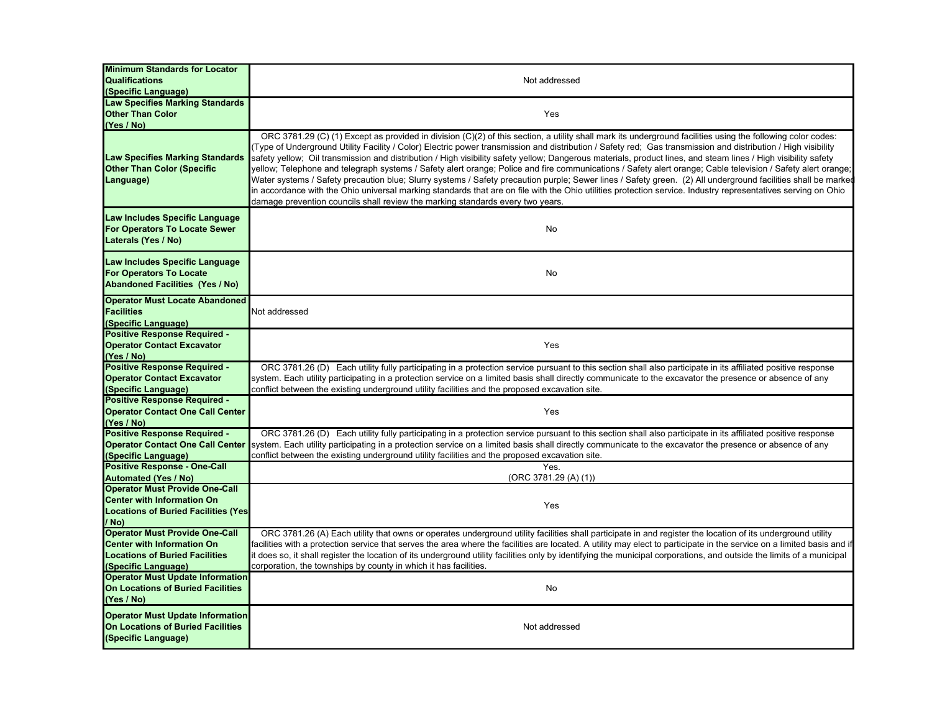| <b>Minimum Standards for Locator</b><br><b>Qualifications</b><br>(Specific Language)                                                       | Not addressed                                                                                                                                                                                                                                                                                                                                                                                                                                                                                                                                                                                                                                                                                                                                                                                                                                                                                                                                                                                                                                                                     |
|--------------------------------------------------------------------------------------------------------------------------------------------|-----------------------------------------------------------------------------------------------------------------------------------------------------------------------------------------------------------------------------------------------------------------------------------------------------------------------------------------------------------------------------------------------------------------------------------------------------------------------------------------------------------------------------------------------------------------------------------------------------------------------------------------------------------------------------------------------------------------------------------------------------------------------------------------------------------------------------------------------------------------------------------------------------------------------------------------------------------------------------------------------------------------------------------------------------------------------------------|
| <b>Law Specifies Marking Standards</b><br><b>Other Than Color</b><br>(Yes / No)                                                            | Yes                                                                                                                                                                                                                                                                                                                                                                                                                                                                                                                                                                                                                                                                                                                                                                                                                                                                                                                                                                                                                                                                               |
| <b>Law Specifies Marking Standards</b><br><b>Other Than Color (Specific</b><br>Language)                                                   | ORC 3781.29 (C) (1) Except as provided in division (C)(2) of this section, a utility shall mark its underground facilities using the following color codes:<br>Type of Underground Utility Facility / Color) Electric power transmission and distribution / Safety red; Gas transmission and distribution / High visibility<br>safety yellow; Oil transmission and distribution / High visibility safety yellow; Dangerous materials, product lines, and steam lines / High visibility safety<br>yellow; Telephone and telegraph systems / Safety alert orange; Police and fire communications / Safety alert orange; Cable television / Safety alert orange;<br>Water systems / Safety precaution blue; Slurry systems / Safety precaution purple; Sewer lines / Safety green. (2) All underground facilities shall be marked<br>in accordance with the Ohio universal marking standards that are on file with the Ohio utilities protection service. Industry representatives serving on Ohio<br>damage prevention councils shall review the marking standards every two years. |
| Law Includes Specific Language<br>For Operators To Locate Sewer<br>Laterals (Yes / No)                                                     | No                                                                                                                                                                                                                                                                                                                                                                                                                                                                                                                                                                                                                                                                                                                                                                                                                                                                                                                                                                                                                                                                                |
| Law Includes Specific Language<br><b>For Operators To Locate</b><br><b>Abandoned Facilities (Yes / No)</b>                                 | No                                                                                                                                                                                                                                                                                                                                                                                                                                                                                                                                                                                                                                                                                                                                                                                                                                                                                                                                                                                                                                                                                |
| <b>Operator Must Locate Abandoned</b><br><b>Facilities</b><br>(Specific Language)                                                          | Not addressed                                                                                                                                                                                                                                                                                                                                                                                                                                                                                                                                                                                                                                                                                                                                                                                                                                                                                                                                                                                                                                                                     |
| <b>Positive Response Required -</b><br><b>Operator Contact Excavator</b><br>(Yes / No)                                                     | Yes                                                                                                                                                                                                                                                                                                                                                                                                                                                                                                                                                                                                                                                                                                                                                                                                                                                                                                                                                                                                                                                                               |
| <b>Positive Response Required -</b><br><b>Operator Contact Excavator</b><br>(Specific Language)                                            | ORC 3781.26 (D) Each utility fully participating in a protection service pursuant to this section shall also participate in its affiliated positive response<br>system. Each utility participating in a protection service on a limited basis shall directly communicate to the excavator the presence or absence of any<br>conflict between the existing underground utility facilities and the proposed excavation site.                                                                                                                                                                                                                                                                                                                                                                                                                                                                                                                                                                                                                                                        |
| <b>Positive Response Required -</b><br><b>Operator Contact One Call Center</b><br>(Yes / No)                                               | Yes                                                                                                                                                                                                                                                                                                                                                                                                                                                                                                                                                                                                                                                                                                                                                                                                                                                                                                                                                                                                                                                                               |
| <b>Positive Response Required -</b><br><b>Operator Contact One Call Center</b><br>(Specific Language)                                      | ORC 3781.26 (D) Each utility fully participating in a protection service pursuant to this section shall also participate in its affiliated positive response<br>system. Each utility participating in a protection service on a limited basis shall directly communicate to the excavator the presence or absence of any<br>conflict between the existing underground utility facilities and the proposed excavation site.                                                                                                                                                                                                                                                                                                                                                                                                                                                                                                                                                                                                                                                        |
| <b>Positive Response - One-Call</b><br><b>Automated (Yes / No)</b><br><b>Operator Must Provide One-Call</b>                                | Yes.<br>(ORC 3781.29 (A) (1))                                                                                                                                                                                                                                                                                                                                                                                                                                                                                                                                                                                                                                                                                                                                                                                                                                                                                                                                                                                                                                                     |
| <b>Center with Information On</b><br><b>Locations of Buried Facilities (Yes)</b><br>/ No)                                                  | Yes                                                                                                                                                                                                                                                                                                                                                                                                                                                                                                                                                                                                                                                                                                                                                                                                                                                                                                                                                                                                                                                                               |
| <b>Operator Must Provide One-Call</b><br><b>Center with Information On</b><br><b>Locations of Buried Facilities</b><br>(Specific Language) | ORC 3781.26 (A) Each utility that owns or operates underground utility facilities shall participate in and register the location of its underground utility<br>facilities with a protection service that serves the area where the facilities are located. A utility may elect to participate in the service on a limited basis and it<br>it does so, it shall register the location of its underground utility facilities only by identifying the municipal corporations, and outside the limits of a municipal<br>corporation, the townships by county in which it has facilities.                                                                                                                                                                                                                                                                                                                                                                                                                                                                                              |
| <b>Operator Must Update Information</b><br>On Locations of Buried Facilities<br>(Yes / No)                                                 | No                                                                                                                                                                                                                                                                                                                                                                                                                                                                                                                                                                                                                                                                                                                                                                                                                                                                                                                                                                                                                                                                                |
| <b>Operator Must Update Information</b><br><b>On Locations of Buried Facilities</b><br>(Specific Language)                                 | Not addressed                                                                                                                                                                                                                                                                                                                                                                                                                                                                                                                                                                                                                                                                                                                                                                                                                                                                                                                                                                                                                                                                     |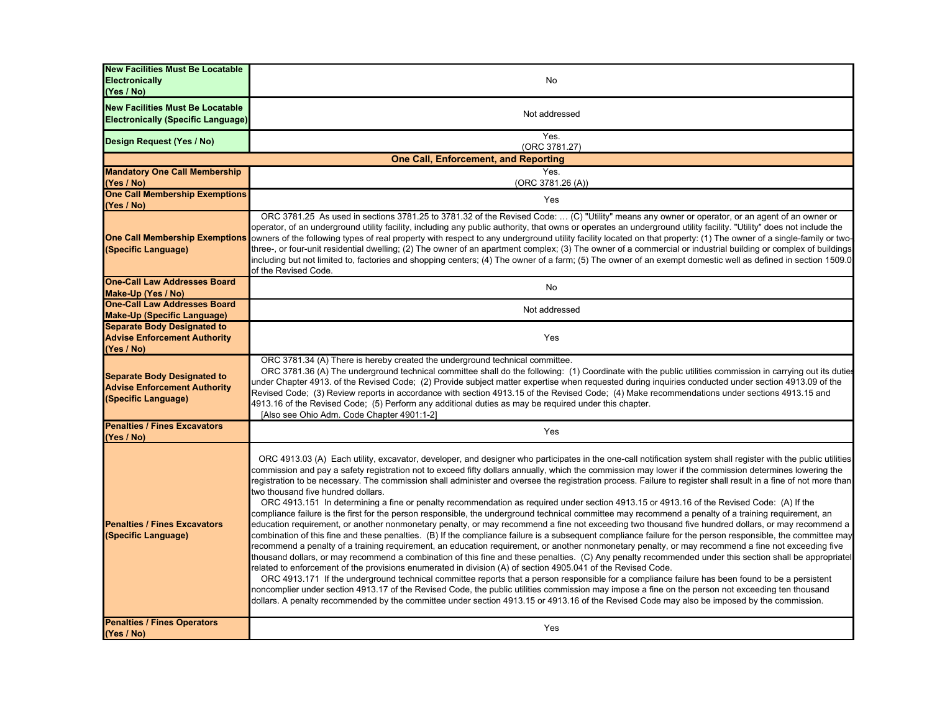| <b>New Facilities Must Be Locatable</b><br>Electronically<br>(Yes / No)                          | No                                                                                                                                                                                                                                                                                                                                                                                                                                                                                                                                                                                                                                                                                                                                                                                                                                                                                                                                                                                                                                                                                                                                                                                                                                                                                                                                                                                                                                                                                                                                                                                                                                                                                                                                                                                                                                                                                                                                                                                                                                                       |
|--------------------------------------------------------------------------------------------------|----------------------------------------------------------------------------------------------------------------------------------------------------------------------------------------------------------------------------------------------------------------------------------------------------------------------------------------------------------------------------------------------------------------------------------------------------------------------------------------------------------------------------------------------------------------------------------------------------------------------------------------------------------------------------------------------------------------------------------------------------------------------------------------------------------------------------------------------------------------------------------------------------------------------------------------------------------------------------------------------------------------------------------------------------------------------------------------------------------------------------------------------------------------------------------------------------------------------------------------------------------------------------------------------------------------------------------------------------------------------------------------------------------------------------------------------------------------------------------------------------------------------------------------------------------------------------------------------------------------------------------------------------------------------------------------------------------------------------------------------------------------------------------------------------------------------------------------------------------------------------------------------------------------------------------------------------------------------------------------------------------------------------------------------------------|
| <b>New Facilities Must Be Locatable</b><br><b>Electronically (Specific Language)</b>             | Not addressed                                                                                                                                                                                                                                                                                                                                                                                                                                                                                                                                                                                                                                                                                                                                                                                                                                                                                                                                                                                                                                                                                                                                                                                                                                                                                                                                                                                                                                                                                                                                                                                                                                                                                                                                                                                                                                                                                                                                                                                                                                            |
| Design Request (Yes / No)                                                                        | Yes.<br>(ORC 3781.27)                                                                                                                                                                                                                                                                                                                                                                                                                                                                                                                                                                                                                                                                                                                                                                                                                                                                                                                                                                                                                                                                                                                                                                                                                                                                                                                                                                                                                                                                                                                                                                                                                                                                                                                                                                                                                                                                                                                                                                                                                                    |
|                                                                                                  | <b>One Call, Enforcement, and Reporting</b>                                                                                                                                                                                                                                                                                                                                                                                                                                                                                                                                                                                                                                                                                                                                                                                                                                                                                                                                                                                                                                                                                                                                                                                                                                                                                                                                                                                                                                                                                                                                                                                                                                                                                                                                                                                                                                                                                                                                                                                                              |
| <b>Mandatory One Call Membership</b><br>(Yes / No)                                               | Yes.<br>(ORC 3781.26 (A))                                                                                                                                                                                                                                                                                                                                                                                                                                                                                                                                                                                                                                                                                                                                                                                                                                                                                                                                                                                                                                                                                                                                                                                                                                                                                                                                                                                                                                                                                                                                                                                                                                                                                                                                                                                                                                                                                                                                                                                                                                |
| <b>One Call Membership Exemptions</b><br>(Yes / No)                                              | Yes                                                                                                                                                                                                                                                                                                                                                                                                                                                                                                                                                                                                                                                                                                                                                                                                                                                                                                                                                                                                                                                                                                                                                                                                                                                                                                                                                                                                                                                                                                                                                                                                                                                                                                                                                                                                                                                                                                                                                                                                                                                      |
| <b>One Call Membership Exemptions</b><br>(Specific Language)                                     | ORC 3781.25 As used in sections 3781.25 to 3781.32 of the Revised Code:  (C) "Utility" means any owner or operator, or an agent of an owner or<br>operator, of an underground utility facility, including any public authority, that owns or operates an underground utility facility. "Utility" does not include the<br>owners of the following types of real property with respect to any underground utility facility located on that property: (1) The owner of a single-family or two-<br>three-, or four-unit residential dwelling; (2) The owner of an apartment complex; (3) The owner of a commercial or industrial building or complex of buildings<br>including but not limited to, factories and shopping centers; (4) The owner of a farm; (5) The owner of an exempt domestic well as defined in section 1509.0<br>of the Revised Code.                                                                                                                                                                                                                                                                                                                                                                                                                                                                                                                                                                                                                                                                                                                                                                                                                                                                                                                                                                                                                                                                                                                                                                                                    |
| <b>One-Call Law Addresses Board</b><br>Make-Up (Yes / No)                                        | No                                                                                                                                                                                                                                                                                                                                                                                                                                                                                                                                                                                                                                                                                                                                                                                                                                                                                                                                                                                                                                                                                                                                                                                                                                                                                                                                                                                                                                                                                                                                                                                                                                                                                                                                                                                                                                                                                                                                                                                                                                                       |
| <b>One-Call Law Addresses Board</b><br><b>Make-Up (Specific Language)</b>                        | Not addressed                                                                                                                                                                                                                                                                                                                                                                                                                                                                                                                                                                                                                                                                                                                                                                                                                                                                                                                                                                                                                                                                                                                                                                                                                                                                                                                                                                                                                                                                                                                                                                                                                                                                                                                                                                                                                                                                                                                                                                                                                                            |
| <b>Separate Body Designated to</b><br><b>Advise Enforcement Authority</b><br>(Yes / No)          | Yes                                                                                                                                                                                                                                                                                                                                                                                                                                                                                                                                                                                                                                                                                                                                                                                                                                                                                                                                                                                                                                                                                                                                                                                                                                                                                                                                                                                                                                                                                                                                                                                                                                                                                                                                                                                                                                                                                                                                                                                                                                                      |
| <b>Separate Body Designated to</b><br><b>Advise Enforcement Authority</b><br>(Specific Language) | ORC 3781.34 (A) There is hereby created the underground technical committee.<br>ORC 3781.36 (A) The underground technical committee shall do the following: (1) Coordinate with the public utilities commission in carrying out its duties<br>under Chapter 4913. of the Revised Code; (2) Provide subject matter expertise when requested during inquiries conducted under section 4913.09 of the<br>Revised Code; (3) Review reports in accordance with section 4913.15 of the Revised Code; (4) Make recommendations under sections 4913.15 and<br>4913.16 of the Revised Code; (5) Perform any additional duties as may be required under this chapter.<br>[Also see Ohio Adm. Code Chapter 4901:1-2]                                                                                                                                                                                                                                                                                                                                                                                                                                                                                                                                                                                                                                                                                                                                                                                                                                                                                                                                                                                                                                                                                                                                                                                                                                                                                                                                                |
| <b>Penalties / Fines Excavators</b><br>(Yes / No)                                                | Yes                                                                                                                                                                                                                                                                                                                                                                                                                                                                                                                                                                                                                                                                                                                                                                                                                                                                                                                                                                                                                                                                                                                                                                                                                                                                                                                                                                                                                                                                                                                                                                                                                                                                                                                                                                                                                                                                                                                                                                                                                                                      |
| <b>Penalties / Fines Excavators</b><br>(Specific Language)                                       | ORC 4913.03 (A) Each utility, excavator, developer, and designer who participates in the one-call notification system shall register with the public utilities<br>commission and pay a safety registration not to exceed fifty dollars annually, which the commission may lower if the commission determines lowering the<br>registration to be necessary. The commission shall administer and oversee the registration process. Failure to register shall result in a fine of not more than<br>two thousand five hundred dollars.<br>ORC 4913.151 In determining a fine or penalty recommendation as required under section 4913.15 or 4913.16 of the Revised Code: (A) If the<br>compliance failure is the first for the person responsible, the underground technical committee may recommend a penalty of a training requirement, an<br>education requirement, or another nonmonetary penalty, or may recommend a fine not exceeding two thousand five hundred dollars, or may recommend a<br>combination of this fine and these penalties. (B) If the compliance failure is a subsequent compliance failure for the person responsible, the committee may<br>recommend a penalty of a training requirement, an education requirement, or another nonmonetary penalty, or may recommend a fine not exceeding five<br>thousand dollars, or may recommend a combination of this fine and these penalties. (C) Any penalty recommended under this section shall be appropriatel<br>related to enforcement of the provisions enumerated in division (A) of section 4905.041 of the Revised Code.<br>ORC 4913.171 If the underground technical committee reports that a person responsible for a compliance failure has been found to be a persistent<br>noncomplier under section 4913.17 of the Revised Code, the public utilities commission may impose a fine on the person not exceeding ten thousand<br>dollars. A penalty recommended by the committee under section 4913.15 or 4913.16 of the Revised Code may also be imposed by the commission. |
| <b>Penalties / Fines Operators</b><br>(Yes / No)                                                 | Yes                                                                                                                                                                                                                                                                                                                                                                                                                                                                                                                                                                                                                                                                                                                                                                                                                                                                                                                                                                                                                                                                                                                                                                                                                                                                                                                                                                                                                                                                                                                                                                                                                                                                                                                                                                                                                                                                                                                                                                                                                                                      |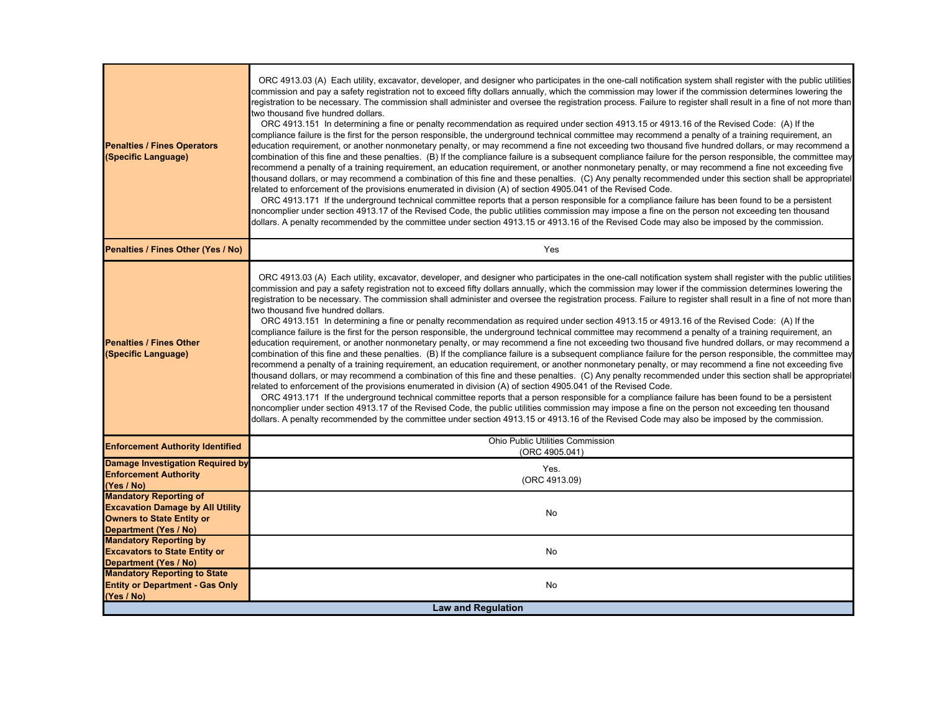| <b>Penalties / Fines Operators</b><br>(Specific Language)                                                                             | ORC 4913.03 (A) Each utility, excavator, developer, and designer who participates in the one-call notification system shall register with the public utilities<br>commission and pay a safety registration not to exceed fifty dollars annually, which the commission may lower if the commission determines lowering the<br>registration to be necessary. The commission shall administer and oversee the registration process. Failure to register shall result in a fine of not more than<br>two thousand five hundred dollars.<br>ORC 4913.151 In determining a fine or penalty recommendation as required under section 4913.15 or 4913.16 of the Revised Code: (A) If the<br>compliance failure is the first for the person responsible, the underground technical committee may recommend a penalty of a training requirement, an<br>education requirement, or another nonmonetary penalty, or may recommend a fine not exceeding two thousand five hundred dollars, or may recommend a<br>combination of this fine and these penalties. (B) If the compliance failure is a subsequent compliance failure for the person responsible, the committee may<br>recommend a penalty of a training requirement, an education requirement, or another nonmonetary penalty, or may recommend a fine not exceeding five<br>thousand dollars, or may recommend a combination of this fine and these penalties. (C) Any penalty recommended under this section shall be appropriatel<br>related to enforcement of the provisions enumerated in division (A) of section 4905.041 of the Revised Code.<br>ORC 4913.171 If the underground technical committee reports that a person responsible for a compliance failure has been found to be a persistent<br>noncomplier under section 4913.17 of the Revised Code, the public utilities commission may impose a fine on the person not exceeding ten thousand<br>dollars. A penalty recommended by the committee under section 4913.15 or 4913.16 of the Revised Code may also be imposed by the commission. |
|---------------------------------------------------------------------------------------------------------------------------------------|----------------------------------------------------------------------------------------------------------------------------------------------------------------------------------------------------------------------------------------------------------------------------------------------------------------------------------------------------------------------------------------------------------------------------------------------------------------------------------------------------------------------------------------------------------------------------------------------------------------------------------------------------------------------------------------------------------------------------------------------------------------------------------------------------------------------------------------------------------------------------------------------------------------------------------------------------------------------------------------------------------------------------------------------------------------------------------------------------------------------------------------------------------------------------------------------------------------------------------------------------------------------------------------------------------------------------------------------------------------------------------------------------------------------------------------------------------------------------------------------------------------------------------------------------------------------------------------------------------------------------------------------------------------------------------------------------------------------------------------------------------------------------------------------------------------------------------------------------------------------------------------------------------------------------------------------------------------------------------------------------------------------------------------------------------|
| Penalties / Fines Other (Yes / No)                                                                                                    | Yes                                                                                                                                                                                                                                                                                                                                                                                                                                                                                                                                                                                                                                                                                                                                                                                                                                                                                                                                                                                                                                                                                                                                                                                                                                                                                                                                                                                                                                                                                                                                                                                                                                                                                                                                                                                                                                                                                                                                                                                                                                                      |
| <b>Penalties / Fines Other</b><br>(Specific Language)                                                                                 | ORC 4913.03 (A) Each utility, excavator, developer, and designer who participates in the one-call notification system shall register with the public utilities<br>commission and pay a safety registration not to exceed fifty dollars annually, which the commission may lower if the commission determines lowering the<br>egistration to be necessary. The commission shall administer and oversee the registration process. Failure to register shall result in a fine of not more than<br>two thousand five hundred dollars.<br>ORC 4913.151 In determining a fine or penalty recommendation as required under section 4913.15 or 4913.16 of the Revised Code: (A) If the<br>compliance failure is the first for the person responsible, the underground technical committee may recommend a penalty of a training requirement, an<br>education requirement, or another nonmonetary penalty, or may recommend a fine not exceeding two thousand five hundred dollars, or may recommend a<br>combination of this fine and these penalties. (B) If the compliance failure is a subsequent compliance failure for the person responsible, the committee may<br>recommend a penalty of a training requirement, an education requirement, or another nonmonetary penalty, or may recommend a fine not exceeding five<br>thousand dollars, or may recommend a combination of this fine and these penalties. (C) Any penalty recommended under this section shall be appropriatel<br>related to enforcement of the provisions enumerated in division (A) of section 4905.041 of the Revised Code.<br>ORC 4913.171 If the underground technical committee reports that a person responsible for a compliance failure has been found to be a persistent<br>noncomplier under section 4913.17 of the Revised Code, the public utilities commission may impose a fine on the person not exceeding ten thousand<br>dollars. A penalty recommended by the committee under section 4913.15 or 4913.16 of the Revised Code may also be imposed by the commission.  |
| <b>Enforcement Authority Identified</b>                                                                                               | Ohio Public Utilities Commission<br>(ORC 4905.041)                                                                                                                                                                                                                                                                                                                                                                                                                                                                                                                                                                                                                                                                                                                                                                                                                                                                                                                                                                                                                                                                                                                                                                                                                                                                                                                                                                                                                                                                                                                                                                                                                                                                                                                                                                                                                                                                                                                                                                                                       |
| Damage Investigation Required by<br><b>Enforcement Authority</b><br>(Yes / No)                                                        | Yes.<br>(ORC 4913.09)                                                                                                                                                                                                                                                                                                                                                                                                                                                                                                                                                                                                                                                                                                                                                                                                                                                                                                                                                                                                                                                                                                                                                                                                                                                                                                                                                                                                                                                                                                                                                                                                                                                                                                                                                                                                                                                                                                                                                                                                                                    |
| <b>Mandatory Reporting of</b><br><b>Excavation Damage by All Utility</b><br><b>Owners to State Entity or</b><br>Department (Yes / No) | No                                                                                                                                                                                                                                                                                                                                                                                                                                                                                                                                                                                                                                                                                                                                                                                                                                                                                                                                                                                                                                                                                                                                                                                                                                                                                                                                                                                                                                                                                                                                                                                                                                                                                                                                                                                                                                                                                                                                                                                                                                                       |
| <b>Mandatory Reporting by</b><br><b>Excavators to State Entity or</b><br>Department (Yes / No)                                        | No                                                                                                                                                                                                                                                                                                                                                                                                                                                                                                                                                                                                                                                                                                                                                                                                                                                                                                                                                                                                                                                                                                                                                                                                                                                                                                                                                                                                                                                                                                                                                                                                                                                                                                                                                                                                                                                                                                                                                                                                                                                       |
| <b>Mandatory Reporting to State</b><br><b>Entity or Department - Gas Only</b><br>(Yes / No)                                           | No                                                                                                                                                                                                                                                                                                                                                                                                                                                                                                                                                                                                                                                                                                                                                                                                                                                                                                                                                                                                                                                                                                                                                                                                                                                                                                                                                                                                                                                                                                                                                                                                                                                                                                                                                                                                                                                                                                                                                                                                                                                       |
| <b>Law and Requiation</b>                                                                                                             |                                                                                                                                                                                                                                                                                                                                                                                                                                                                                                                                                                                                                                                                                                                                                                                                                                                                                                                                                                                                                                                                                                                                                                                                                                                                                                                                                                                                                                                                                                                                                                                                                                                                                                                                                                                                                                                                                                                                                                                                                                                          |